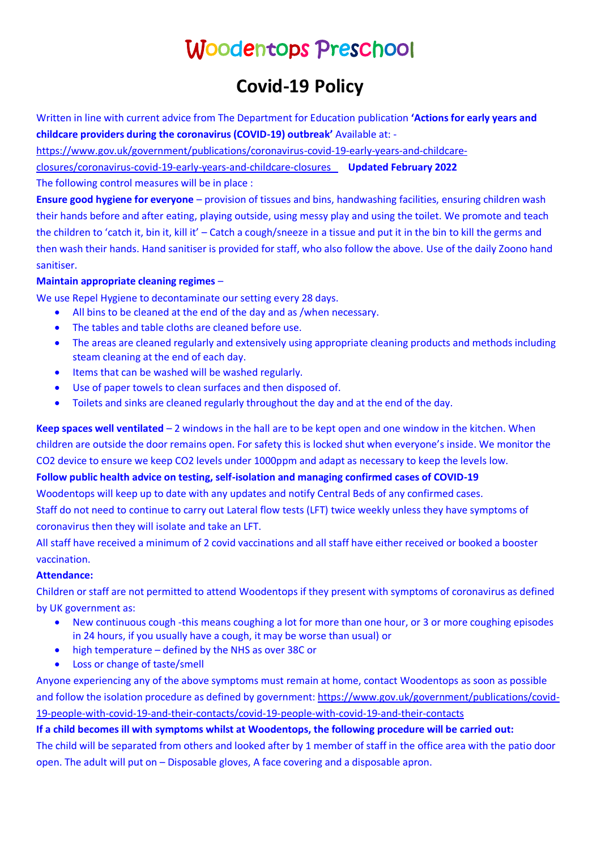# Woodentops Preschool

## **Covid-19 Policy**

Written in line with current advice from The Department for Education publication **'Actions for early years and childcare providers during the coronavirus (COVID-19) outbreak'** Available at: -

[https://www.gov.uk/government/publications/coronavirus-covid-19-early-years-and-childcare-](https://www.gov.uk/government/publications/coronavirus-covid-19-early-years-and-childcare-closures/coronavirus-covid-19-early-years-and-childcare-closures)

[closures/coronavirus-covid-19-early-years-and-childcare-closures](https://www.gov.uk/government/publications/coronavirus-covid-19-early-years-and-childcare-closures/coronavirus-covid-19-early-years-and-childcare-closures) **Updated February 2022**

The following control measures will be in place :

**Ensure good hygiene for everyone** – provision of tissues and bins, handwashing facilities, ensuring children wash their hands before and after eating, playing outside, using messy play and using the toilet. We promote and teach the children to 'catch it, bin it, kill it' – Catch a cough/sneeze in a tissue and put it in the bin to kill the germs and then wash their hands. Hand sanitiser is provided for staff, who also follow the above. Use of the daily Zoono hand sanitiser.

#### **Maintain appropriate cleaning regimes** –

We use Repel Hygiene to decontaminate our setting every 28 days.

- All bins to be cleaned at the end of the day and as /when necessary.
- The tables and table cloths are cleaned before use.
- The areas are cleaned regularly and extensively using appropriate cleaning products and methods including steam cleaning at the end of each day.
- Items that can be washed will be washed regularly.
- Use of paper towels to clean surfaces and then disposed of.
- Toilets and sinks are cleaned regularly throughout the day and at the end of the day.

**Keep spaces well ventilated** – 2 windows in the hall are to be kept open and one window in the kitchen. When children are outside the door remains open. For safety this is locked shut when everyone's inside. We monitor the CO2 device to ensure we keep CO2 levels under 1000ppm and adapt as necessary to keep the levels low. **Follow public health advice on testing, self-isolation and managing confirmed cases of COVID-19** Woodentops will keep up to date with any updates and notify Central Beds of any confirmed cases.

Staff do not need to continue to carry out Lateral flow tests (LFT) twice weekly unless they have symptoms of coronavirus then they will isolate and take an LFT.

All staff have received a minimum of 2 covid vaccinations and all staff have either received or booked a booster vaccination.

#### **Attendance:**

Children or staff are not permitted to attend Woodentops if they present with symptoms of coronavirus as defined by UK government as:

- New continuous cough -this means coughing a lot for more than one hour, or 3 or more coughing episodes in 24 hours, if you usually have a cough, it may be worse than usual) or
- high temperature defined by the NHS as over 38C or
- Loss or change of taste/smell

Anyone experiencing any of the above symptoms must remain at home, contact Woodentops as soon as possible and follow the isolation procedure as defined by government: [https://www.gov.uk/government/publications/covid-](https://www.gov.uk/government/publications/covid-19-people-with-covid-19-and-their-contacts/covid-19-people-with-covid-19-and-their-contacts)[19-people-with-covid-19-and-their-contacts/covid-19-people-with-covid-19-and-their-contacts](https://www.gov.uk/government/publications/covid-19-people-with-covid-19-and-their-contacts/covid-19-people-with-covid-19-and-their-contacts)

### **If a child becomes ill with symptoms whilst at Woodentops, the following procedure will be carried out:**

The child will be separated from others and looked after by 1 member of staff in the office area with the patio door open. The adult will put on – Disposable gloves, A face covering and a disposable apron.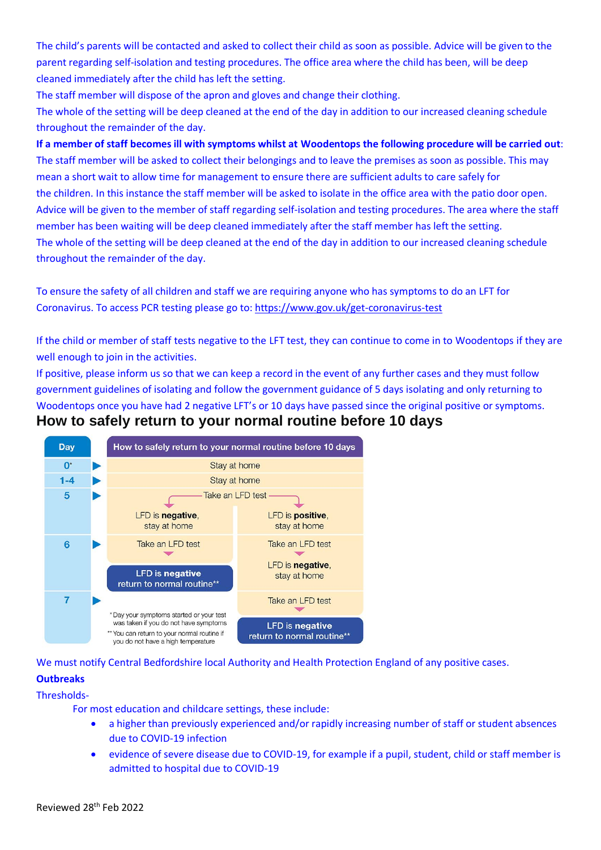The child's parents will be contacted and asked to collect their child as soon as possible. Advice will be given to the parent regarding self-isolation and testing procedures. The office area where the child has been, will be deep cleaned immediately after the child has left the setting.

The staff member will dispose of the apron and gloves and change their clothing.

The whole of the setting will be deep cleaned at the end of the day in addition to our increased cleaning schedule throughout the remainder of the day.

**If a member of staff becomes ill with symptoms whilst at Woodentops the following procedure will be carried out**: The staff member will be asked to collect their belongings and to leave the premises as soon as possible. This may mean a short wait to allow time for management to ensure there are sufficient adults to care safely for the children. In this instance the staff member will be asked to isolate in the office area with the patio door open. Advice will be given to the member of staff regarding self-isolation and testing procedures. The area where the staff member has been waiting will be deep cleaned immediately after the staff member has left the setting. The whole of the setting will be deep cleaned at the end of the day in addition to our increased cleaning schedule throughout the remainder of the day.

To ensure the safety of all children and staff we are requiring anyone who has symptoms to do an LFT for Coronavirus. To access PCR testing please go to[: https://www.gov.uk/get-coronavirus-test](https://www.gov.uk/get-coronavirus-test)

If the child or member of staff tests negative to the LFT test, they can continue to come in to Woodentops if they are well enough to join in the activities.

If positive, please inform us so that we can keep a record in the event of any further cases and they must follow government guidelines of isolating and follow the government guidance of 5 days isolating and only returning to Woodentops once you have had 2 negative LFT's or 10 days have passed since the original positive or symptoms. **How to safely return to your normal routine before 10 days**



We must notify Central Bedfordshire local Authority and Health Protection England of any positive cases. **Outbreaks**

Thresholds-

For most education and childcare settings, these include:

- a higher than previously experienced and/or rapidly increasing number of staff or student absences due to COVID-19 infection
- evidence of severe disease due to COVID-19, for example if a pupil, student, child or staff member is admitted to hospital due to COVID-19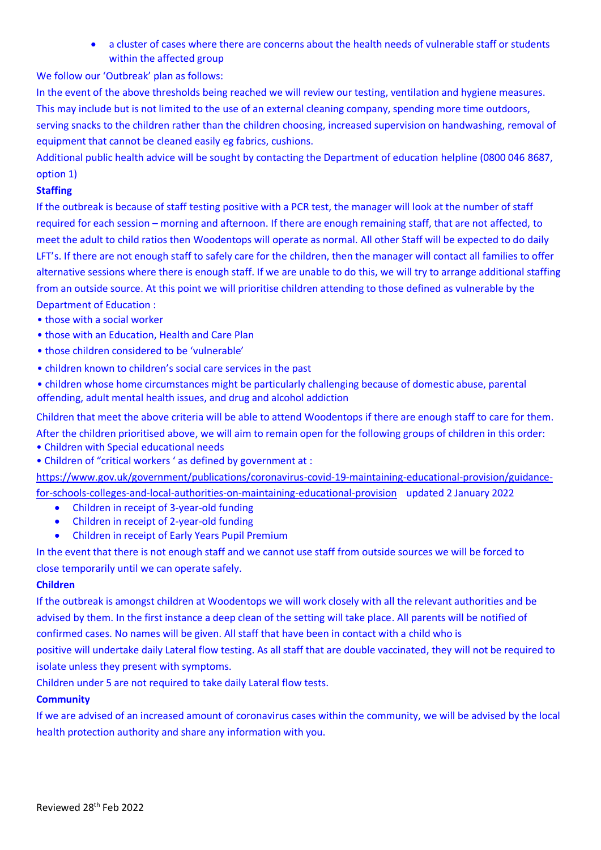• a cluster of cases where there are concerns about the health needs of vulnerable staff or students within the affected group

We follow our 'Outbreak' plan as follows:

In the event of the above thresholds being reached we will review our testing, ventilation and hygiene measures. This may include but is not limited to the use of an external cleaning company, spending more time outdoors, serving snacks to the children rather than the children choosing, increased supervision on handwashing, removal of equipment that cannot be cleaned easily eg fabrics, cushions.

Additional public health advice will be sought by contacting the Department of education helpline (0800 046 8687, option 1)

#### **Staffing**

If the outbreak is because of staff testing positive with a PCR test, the manager will look at the number of staff required for each session – morning and afternoon. If there are enough remaining staff, that are not affected, to meet the adult to child ratios then Woodentops will operate as normal. All other Staff will be expected to do daily LFT's. If there are not enough staff to safely care for the children, then the manager will contact all families to offer alternative sessions where there is enough staff. If we are unable to do this, we will try to arrange additional staffing from an outside source. At this point we will prioritise children attending to those defined as vulnerable by the Department of Education :

- those with a social worker
- those with an Education, Health and Care Plan
- those children considered to be 'vulnerable'
- children known to children's social care services in the past
- children whose home circumstances might be particularly challenging because of domestic abuse, parental offending, adult mental health issues, and drug and alcohol addiction

Children that meet the above criteria will be able to attend Woodentops if there are enough staff to care for them. After the children prioritised above, we will aim to remain open for the following groups of children in this order:

- Children with Special educational needs
- Children of "critical workers ' as defined by government at :

[https://www.gov.uk/government/publications/coronavirus-covid-19-maintaining-educational-provision/guidance](https://www.gov.uk/government/publications/coronavirus-covid-19-maintaining-educational-provision/guidance-for-schools-colleges-and-local-authorities-on-maintaining-educational-provision)[for-schools-colleges-and-local-authorities-on-maintaining-educational-provision](https://www.gov.uk/government/publications/coronavirus-covid-19-maintaining-educational-provision/guidance-for-schools-colleges-and-local-authorities-on-maintaining-educational-provision) updated 2 January 2022 • Children in receipt of 3-year-old funding

- Children in receipt of 2-year-old funding
- Children in receipt of Early Years Pupil Premium

In the event that there is not enough staff and we cannot use staff from outside sources we will be forced to close temporarily until we can operate safely.

#### **Children**

If the outbreak is amongst children at Woodentops we will work closely with all the relevant authorities and be advised by them. In the first instance a deep clean of the setting will take place. All parents will be notified of confirmed cases. No names will be given. All staff that have been in contact with a child who is

positive will undertake daily Lateral flow testing. As all staff that are double vaccinated, they will not be required to isolate unless they present with symptoms.

Children under 5 are not required to take daily Lateral flow tests.

### **Community**

If we are advised of an increased amount of coronavirus cases within the community, we will be advised by the local health protection authority and share any information with you.